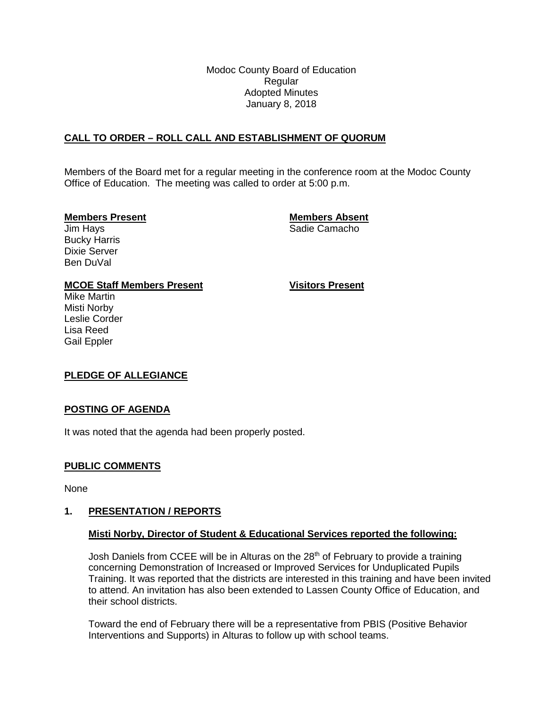Modoc County Board of Education Regular Adopted Minutes January 8, 2018

# **CALL TO ORDER – ROLL CALL AND ESTABLISHMENT OF QUORUM**

Members of the Board met for a regular meeting in the conference room at the Modoc County Office of Education. The meeting was called to order at 5:00 p.m.

#### **Members Present Members Absent**

**Jim Hays** Sadie Camacho

Bucky Harris Dixie Server Ben DuVal

#### **MCOE Staff Members Present Visitors Present**

Mike Martin Misti Norby Leslie Corder Lisa Reed Gail Eppler

# **PLEDGE OF ALLEGIANCE**

#### **POSTING OF AGENDA**

It was noted that the agenda had been properly posted.

#### **PUBLIC COMMENTS**

None

#### **1. PRESENTATION / REPORTS**

# **Misti Norby, Director of Student & Educational Services reported the following:**

Josh Daniels from CCEE will be in Alturas on the 28<sup>th</sup> of February to provide a training concerning Demonstration of Increased or Improved Services for Unduplicated Pupils Training. It was reported that the districts are interested in this training and have been invited to attend. An invitation has also been extended to Lassen County Office of Education, and their school districts.

Toward the end of February there will be a representative from PBIS (Positive Behavior Interventions and Supports) in Alturas to follow up with school teams.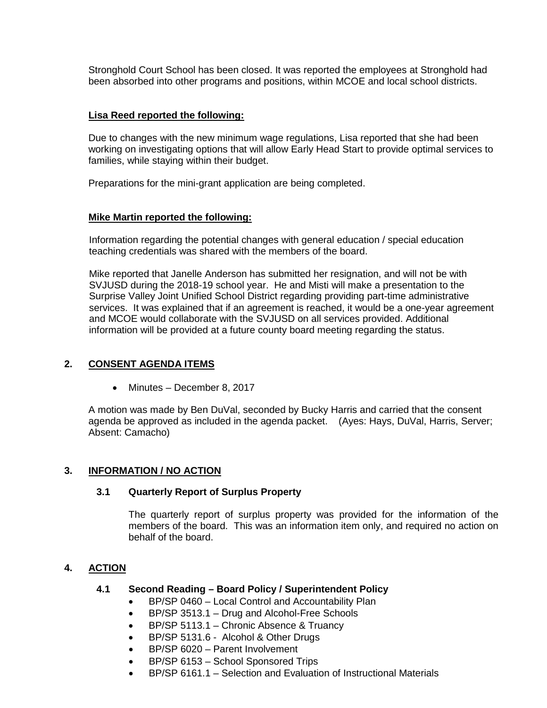Stronghold Court School has been closed. It was reported the employees at Stronghold had been absorbed into other programs and positions, within MCOE and local school districts.

#### **Lisa Reed reported the following:**

Due to changes with the new minimum wage regulations, Lisa reported that she had been working on investigating options that will allow Early Head Start to provide optimal services to families, while staying within their budget.

Preparations for the mini-grant application are being completed.

# **Mike Martin reported the following:**

Information regarding the potential changes with general education / special education teaching credentials was shared with the members of the board.

Mike reported that Janelle Anderson has submitted her resignation, and will not be with SVJUSD during the 2018-19 school year. He and Misti will make a presentation to the Surprise Valley Joint Unified School District regarding providing part-time administrative services. It was explained that if an agreement is reached, it would be a one-year agreement and MCOE would collaborate with the SVJUSD on all services provided. Additional information will be provided at a future county board meeting regarding the status.

# **2. CONSENT AGENDA ITEMS**

• Minutes – December 8, 2017

A motion was made by Ben DuVal, seconded by Bucky Harris and carried that the consent agenda be approved as included in the agenda packet. (Ayes: Hays, DuVal, Harris, Server; Absent: Camacho)

# **3. INFORMATION / NO ACTION**

# **3.1 Quarterly Report of Surplus Property**

The quarterly report of surplus property was provided for the information of the members of the board. This was an information item only, and required no action on behalf of the board.

# **4. ACTION**

# **4.1 Second Reading – Board Policy / Superintendent Policy**

- BP/SP 0460 Local Control and Accountability Plan
- BP/SP 3513.1 Drug and Alcohol-Free Schools
- BP/SP 5113.1 Chronic Absence & Truancy
- BP/SP 5131.6 Alcohol & Other Drugs
- BP/SP 6020 Parent Involvement
- BP/SP 6153 School Sponsored Trips
- BP/SP 6161.1 Selection and Evaluation of Instructional Materials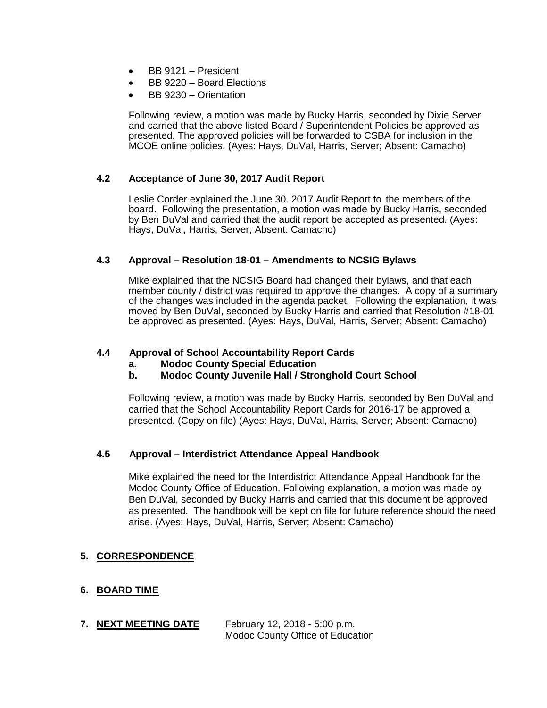- BB 9121 President
- BB 9220 Board Elections
- BB 9230 Orientation

Following review, a motion was made by Bucky Harris, seconded by Dixie Server and carried that the above listed Board / Superintendent Policies be approved as presented. The approved policies will be forwarded to CSBA for inclusion in the MCOE online policies. (Ayes: Hays, DuVal, Harris, Server; Absent: Camacho)

#### **4.2 Acceptance of June 30, 2017 Audit Report**

Leslie Corder explained the June 30. 2017 Audit Report to the members of the board. Following the presentation, a motion was made by Bucky Harris, seconded by Ben DuVal and carried that the audit report be accepted as presented. (Ayes: Hays, DuVal, Harris, Server; Absent: Camacho)

#### **4.3 Approval – Resolution 18-01 – Amendments to NCSIG Bylaws**

Mike explained that the NCSIG Board had changed their bylaws, and that each member county / district was required to approve the changes. A copy of a summary of the changes was included in the agenda packet. Following the explanation, it was moved by Ben DuVal, seconded by Bucky Harris and carried that Resolution #18-01 be approved as presented. (Ayes: Hays, DuVal, Harris, Server; Absent: Camacho)

#### **4.4 Approval of School Accountability Report Cards**

**a. Modoc County Special Education**

# **b. Modoc County Juvenile Hall / Stronghold Court School**

Following review, a motion was made by Bucky Harris, seconded by Ben DuVal and carried that the School Accountability Report Cards for 2016-17 be approved a presented. (Copy on file) (Ayes: Hays, DuVal, Harris, Server; Absent: Camacho)

#### **4.5 Approval – Interdistrict Attendance Appeal Handbook**

Mike explained the need for the Interdistrict Attendance Appeal Handbook for the Modoc County Office of Education. Following explanation, a motion was made by Ben DuVal, seconded by Bucky Harris and carried that this document be approved as presented. The handbook will be kept on file for future reference should the need arise. (Ayes: Hays, DuVal, Harris, Server; Absent: Camacho)

# **5. CORRESPONDENCE**

# **6. BOARD TIME**

**7. NEXT MEETING DATE** February 12, 2018 - 5:00 p.m. Modoc County Office of Education